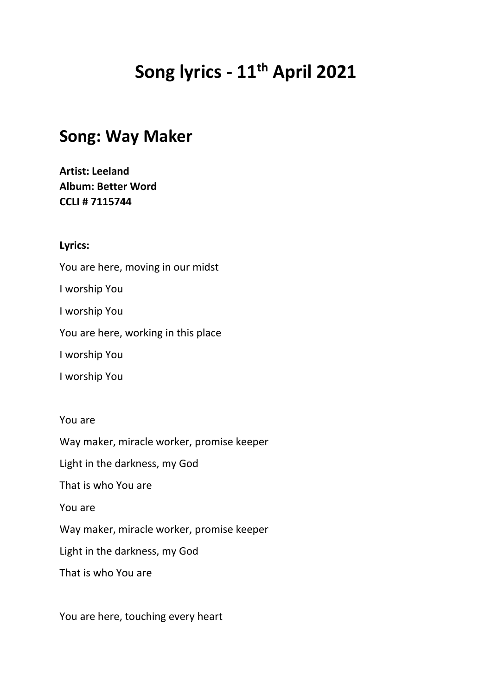# **Song lyrics - 11th April 2021**

# **Song: Way Maker**

**Artist: Leeland Album: Better Word CCLI # 7115744**

### **Lyrics:**

You are here, moving in our midst

I worship You

I worship You

You are here, working in this place

I worship You

I worship You

### You are

Way maker, miracle worker, promise keeper

Light in the darkness, my God

That is who You are

You are

Way maker, miracle worker, promise keeper

Light in the darkness, my God

That is who You are

You are here, touching every heart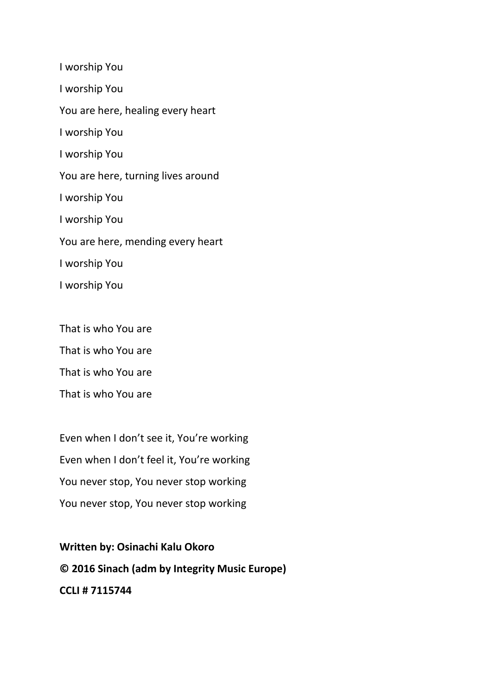| I worship You                      |
|------------------------------------|
| I worship You                      |
| You are here, healing every heart  |
| I worship You                      |
| I worship You                      |
| You are here, turning lives around |
| I worship You                      |
| I worship You                      |
| You are here, mending every heart  |
| I worship You                      |
| I worship You                      |
|                                    |

That is who You are That is who You are That is who You are

That is who You are

Even when I don't see it, You're working Even when I don't feel it, You're working You never stop, You never stop working You never stop, You never stop working

**Written by: Osinachi Kalu Okoro © 2016 Sinach (adm by Integrity Music Europe) CCLI # 7115744**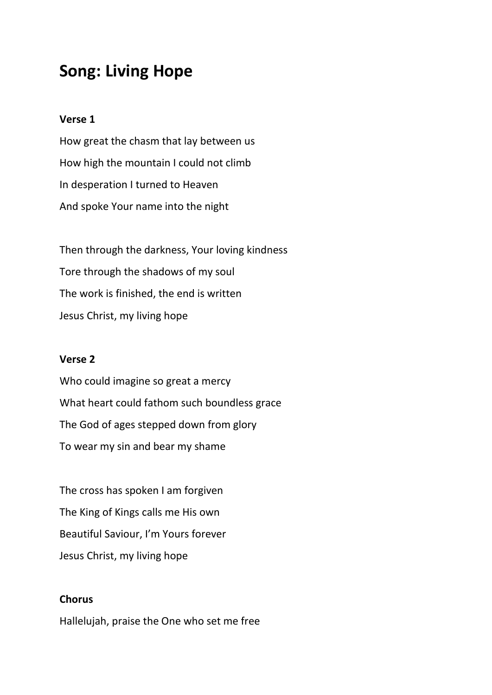# **Song: Living Hope**

### **Verse 1**

How great the chasm that lay between us How high the mountain I could not climb In desperation I turned to Heaven And spoke Your name into the night

Then through the darkness, Your loving kindness Tore through the shadows of my soul The work is finished, the end is written Jesus Christ, my living hope

### **Verse 2**

Who could imagine so great a mercy What heart could fathom such boundless grace The God of ages stepped down from glory To wear my sin and bear my shame

The cross has spoken I am forgiven The King of Kings calls me His own Beautiful Saviour, I'm Yours forever Jesus Christ, my living hope

### **Chorus**

Hallelujah, praise the One who set me free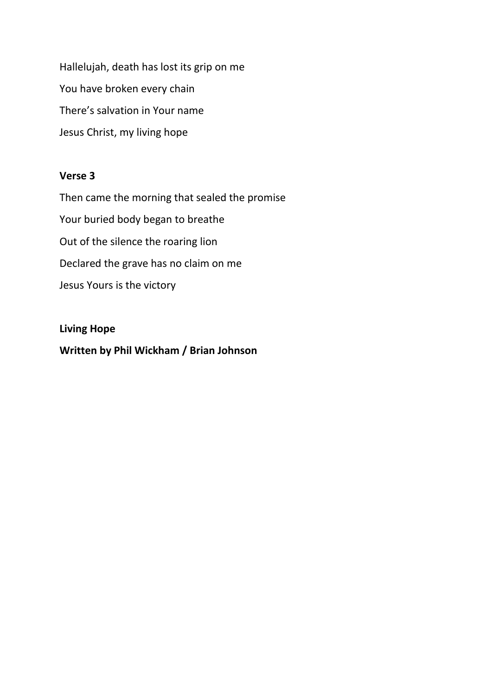Hallelujah, death has lost its grip on me You have broken every chain There's salvation in Your name Jesus Christ, my living hope

### **Verse 3**

Then came the morning that sealed the promise Your buried body began to breathe Out of the silence the roaring lion Declared the grave has no claim on me Jesus Yours is the victory

# **Living Hope Written by Phil Wickham / Brian Johnson**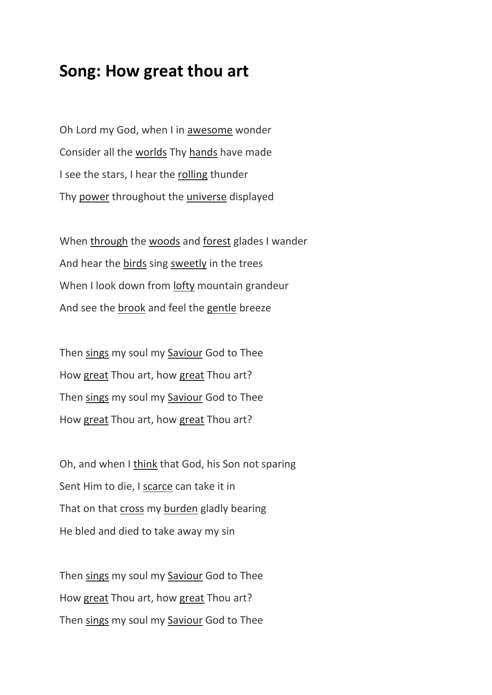# **Song: How great thou art**

Oh Lord my God, when I in [awesome](https://www.definitions.net/definition/awesome) wonder Consider all the [worlds](https://www.definitions.net/definition/worlds) Thy [hands](https://www.definitions.net/definition/hands) have made I see the stars, I hear the [rolling](https://www.definitions.net/definition/rolling) thunder Thy [power](https://www.definitions.net/definition/power) throughout the [universe](https://www.definitions.net/definition/universe) displayed

When [through](https://www.definitions.net/definition/through) the [woods](https://www.definitions.net/definition/woods) and [forest](https://www.definitions.net/definition/forest) glades I wander And hear the [birds](https://www.definitions.net/definition/birds) sing [sweetly](https://www.definitions.net/definition/sweetly) in the trees When I look down from [lofty](https://www.definitions.net/definition/lofty) mountain grandeur And see the [brook](https://www.definitions.net/definition/brook) and feel the [gentle](https://www.definitions.net/definition/gentle) breeze

Then [sings](https://www.definitions.net/definition/sings) my soul my [Saviour](https://www.definitions.net/definition/Saviour) God to Thee How [great](https://www.definitions.net/definition/great) Thou art, how [great](https://www.definitions.net/definition/great) Thou art? Then [sings](https://www.definitions.net/definition/sings) my soul my [Saviour](https://www.definitions.net/definition/Saviour) God to Thee How [great](https://www.definitions.net/definition/great) Thou art, how [great](https://www.definitions.net/definition/great) Thou art?

Oh, and when I [think](https://www.definitions.net/definition/think) that God, his Son not sparing Sent Him to die, I [scarce](https://www.definitions.net/definition/scarce) can take it in That on that [cross](https://www.definitions.net/definition/cross) my [burden](https://www.definitions.net/definition/burden) gladly bearing He bled and died to take away my sin

Then [sings](https://www.definitions.net/definition/sings) my soul my [Saviour](https://www.definitions.net/definition/Savior) God to Thee How [great](https://www.definitions.net/definition/great) Thou art, how [great](https://www.definitions.net/definition/great) Thou art? Then [sings](https://www.definitions.net/definition/sings) my soul my [Saviour](https://www.definitions.net/definition/Savior) God to Thee